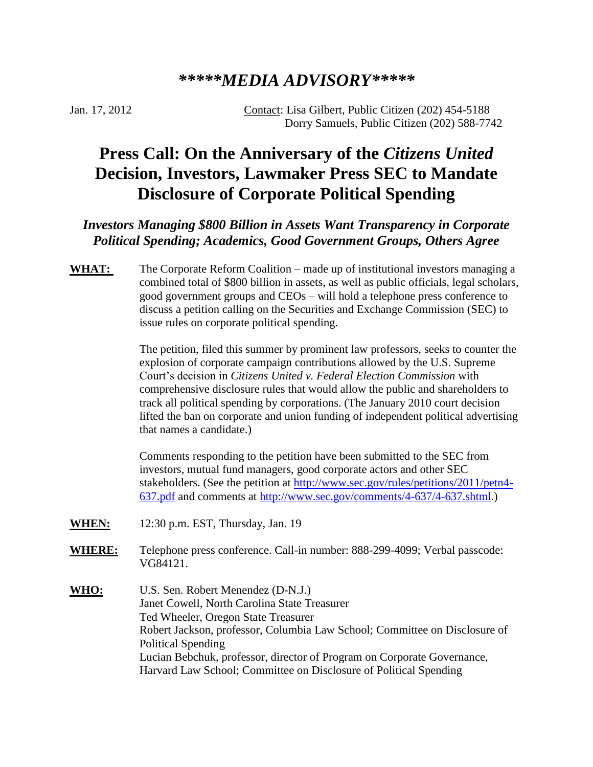## *\*\*\*\*\*MEDIA ADVISORY\*\*\*\*\**

Jan. 17, 2012 Contact: Lisa Gilbert, Public Citizen (202) 454-5188 Dorry Samuels, Public Citizen (202) 588-7742

## **Press Call: On the Anniversary of the** *Citizens United*  **Decision, Investors, Lawmaker Press SEC to Mandate Disclosure of Corporate Political Spending**

## *Investors Managing \$800 Billion in Assets Want Transparency in Corporate Political Spending; Academics, Good Government Groups, Others Agree*

WHAT: The Corporate Reform Coalition – made up of institutional investors managing a combined total of \$800 billion in assets, as well as public officials, legal scholars, good government groups and CEOs – will hold a telephone press conference to discuss a petition calling on the Securities and Exchange Commission (SEC) to issue rules on corporate political spending.

> The petition, filed this summer by prominent law professors, seeks to counter the explosion of corporate campaign contributions allowed by the U.S. Supreme Court's decision in *Citizens United v. Federal Election Commission* with comprehensive disclosure rules that would allow the public and shareholders to track all political spending by corporations. (The January 2010 court decision lifted the ban on corporate and union funding of independent political advertising that names a candidate.)

Comments responding to the petition have been submitted to the SEC from investors, mutual fund managers, good corporate actors and other SEC stakeholders. (See the petition at [http://www.sec.gov/rules/petitions/2011/petn4-](http://www.sec.gov/rules/petitions/2011/petn4-637.pdf) [637.pdf](http://www.sec.gov/rules/petitions/2011/petn4-637.pdf) and comments at<http://www.sec.gov/comments/4-637/4-637.shtml>.)

- **WHEN:** 12:30 p.m. EST, Thursday, Jan. 19
- **WHERE:** Telephone press conference. Call-in number: 888-299-4099; Verbal passcode: VG84121.
- **WHO:** U.S. Sen. Robert Menendez (D-N.J.) Janet Cowell, North Carolina State Treasurer Ted Wheeler, Oregon State Treasurer Robert Jackson, professor, Columbia Law School; Committee on Disclosure of Political Spending Lucian Bebchuk, professor, director of Program on Corporate Governance, Harvard Law School; Committee on Disclosure of Political Spending